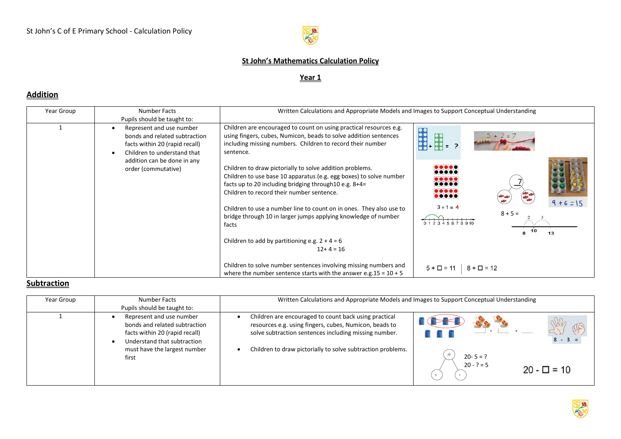

### **St John's Mathematics Calculation Policy**

#### **Year 1**

# **Addition**

| Year Group | Number Facts                                                                                                                                                                     | Written Calculations and Appropriate Models and Images to Support Conceptual Understanding                                                                                                                                                                                                                                                          |                                                              |
|------------|----------------------------------------------------------------------------------------------------------------------------------------------------------------------------------|-----------------------------------------------------------------------------------------------------------------------------------------------------------------------------------------------------------------------------------------------------------------------------------------------------------------------------------------------------|--------------------------------------------------------------|
|            | Pupils should be taught to:                                                                                                                                                      |                                                                                                                                                                                                                                                                                                                                                     |                                                              |
|            | Represent and use number<br>bonds and related subtraction<br>facts within 20 (rapid recall)<br>Children to understand that<br>addition can be done in any<br>order (commutative) | Children are encouraged to count on using practical resources e.g.<br>using fingers, cubes, Numicon, beads to solve addition sentences<br>including missing numbers. Children to record their number<br>sentence.<br>Children to draw pictorially to solve addition problems.<br>Children to use base 10 apparatus (e.g. egg boxes) to solve number | $5 + 2 = 7$<br><br>$\bullet\bullet\bullet\bullet\bullet$<br> |
|            |                                                                                                                                                                                  | facts up to 20 including bridging through 10 e.g. 8+4=<br>Children to record their number sentence.                                                                                                                                                                                                                                                 | <br><br>$\bullet\bullet\bullet\bullet$<br>$9 + 6 = 15$       |
|            |                                                                                                                                                                                  | Children to use a number line to count on in ones. They also use to<br>bridge through 10 in larger jumps applying knowledge of number<br>facts                                                                                                                                                                                                      | $3 + 1 = 4$<br>$8 + 5 =$<br>012345678910<br>10<br>R<br>13    |
|            |                                                                                                                                                                                  | Children to add by partitioning e.g. $2 + 4 = 6$<br>$12+4=16$                                                                                                                                                                                                                                                                                       |                                                              |
|            |                                                                                                                                                                                  | Children to solve number sentences involving missing numbers and<br>where the number sentence starts with the answer e.g. $15 = 10 + 5$                                                                                                                                                                                                             | $5 + \Box = 11$<br>$8 + \Box = 12$                           |

### **Subtraction**

| Year Group | Number Facts<br>Pupils should be taught to:                                                                                                                         | Written Calculations and Appropriate Models and Images to Support Conceptual Understanding                                                                                                                                              |                                                                                 |
|------------|---------------------------------------------------------------------------------------------------------------------------------------------------------------------|-----------------------------------------------------------------------------------------------------------------------------------------------------------------------------------------------------------------------------------------|---------------------------------------------------------------------------------|
|            | Represent and use number<br>bonds and related subtraction<br>facts within 20 (rapid recall)<br>Understand that subtraction<br>must have the largest number<br>first | Children are encouraged to count back using practical<br>resources e.g. using fingers, cubes, Numicon, beads to<br>solve subtraction sentences including missing number.<br>Children to draw pictorially to solve subtraction problems. | $8 - 3 =$<br>$20 - 5 = ?$<br>$20 - ? = 5$<br>$20 - \Box = 10$<br>$\overline{?}$ |

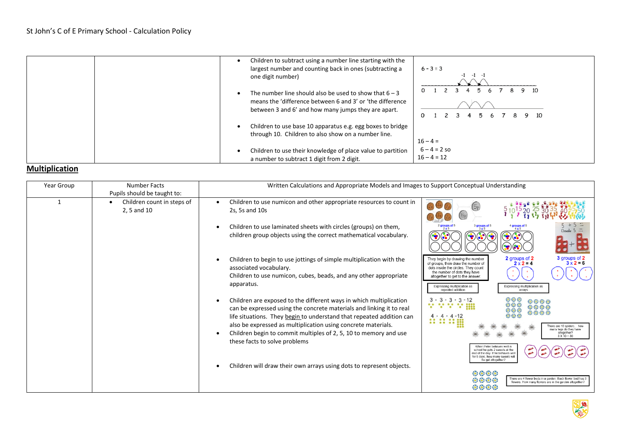| one digit number)                                   | Children to subtract using a number line starting with the<br>largest number and counting back in ones (subtracting a<br>$6 - 3 = 3$<br>$-1$ $-1$<br>-1                           |  |
|-----------------------------------------------------|-----------------------------------------------------------------------------------------------------------------------------------------------------------------------------------|--|
|                                                     | The number line should also be used to show that $6 - 3$<br>means the 'difference between 6 and 3' or 'the difference<br>between 3 and 6' and how many jumps they are apart.<br>Ω |  |
| through 10. Children to also show on a number line. | Children to use base 10 apparatus e.g. egg boxes to bridge<br>$16 - 4 =$                                                                                                          |  |
| a number to subtract 1 digit from 2 digit.          | $6 - 4 = 2$ so<br>Children to use their knowledge of place value to partition<br>$16 - 4 = 12$                                                                                    |  |

## **Multiplication**

| Year Group | <b>Number Facts</b>                       | Written Calculations and Appropriate Models and Images to Support Conceptual Understanding                                                                                                                                                                                                                                                                                               |                                                                                                                                                                                                                                                                                                                                                                                                                        |
|------------|-------------------------------------------|------------------------------------------------------------------------------------------------------------------------------------------------------------------------------------------------------------------------------------------------------------------------------------------------------------------------------------------------------------------------------------------|------------------------------------------------------------------------------------------------------------------------------------------------------------------------------------------------------------------------------------------------------------------------------------------------------------------------------------------------------------------------------------------------------------------------|
|            | Pupils should be taught to:               |                                                                                                                                                                                                                                                                                                                                                                                          |                                                                                                                                                                                                                                                                                                                                                                                                                        |
|            | Children count in steps of<br>2, 5 and 10 | Children to use numicon and other appropriate resources to count in<br>2s, 5s and 10s                                                                                                                                                                                                                                                                                                    | (2p)(2p)(2p)<br>(5 <sub>e</sub> )<br>(5)                                                                                                                                                                                                                                                                                                                                                                               |
|            |                                           | Children to use laminated sheets with circles (groups) on them,<br>children group objects using the correct mathematical vocabulary.                                                                                                                                                                                                                                                     | 2 groups of<br>$3$ groups of 5<br>$3 \times 5$<br>groups of<br>$2 \times 5$<br>$4 \times 5$<br>Double<br>$(\bullet)(\bullet)$                                                                                                                                                                                                                                                                                          |
|            |                                           | Children to begin to use jottings of simple multiplication with the<br>associated vocabulary.<br>Children to use numicon, cubes, beads, and any other appropriate<br>apparatus.                                                                                                                                                                                                          | 3 groups of 2<br>$3 \times 2 = 6$<br>2 groups of 2<br>They begin by drawing the number<br>$2 \times 2 = 4$<br>of groups, then draw the number of<br>dots inside the circles. They count<br>the number of dots they have<br>altogether to get to the answer.<br>Expressing multiplication as<br>Expressing multiplication as<br>repeated addition<br>arrays                                                             |
|            |                                           | Children are exposed to the different ways in which multiplication<br>can be expressed using the concrete materials and linking it to real<br>life situations. They begin to understand that repeated addition can<br>also be expressed as multiplication using concrete materials.<br>Children begin to commit multiples of 2, 5, 10 to memory and use<br>these facts to solve problems | 000<br>$3 \cdot 3 \cdot 3 \cdot 3 \cdot 12$<br>委员委员<br><b>SA</b><br>$\sim$ $\sim$ $\sim$ $\sim$<br>∵<br>最新的的<br>000<br>第第第章<br>※※※<br>:: :: :: <u>::</u><br>There are 10 spiders how<br>many legs do they have<br>altogether?<br>$8X\overline{10} = 80$<br>When Peter behaves well in<br>school he gets 2 sweets at the<br>end of the day. If he behaves wel<br>for 5 days, how many sweets will<br>he get altogether? |
|            |                                           |                                                                                                                                                                                                                                                                                                                                                                                          | Children will draw their own arrays using dots to represent objects.                                                                                                                                                                                                                                                                                                                                                   |